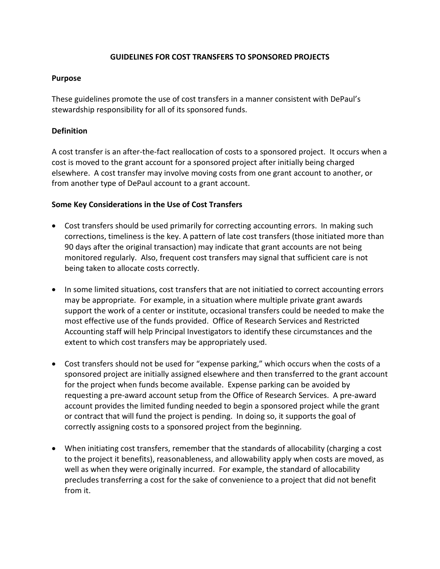### **GUIDELINES FOR COST TRANSFERS TO SPONSORED PROJECTS**

#### **Purpose**

These guidelines promote the use of cost transfers in a manner consistent with DePaul's stewardship responsibility for all of its sponsored funds.

### **Definition**

A cost transfer is an after-the-fact reallocation of costs to a sponsored project. It occurs when a cost is moved to the grant account for a sponsored project after initially being charged elsewhere. A cost transfer may involve moving costs from one grant account to another, or from another type of DePaul account to a grant account.

#### **Some Key Considerations in the Use of Cost Transfers**

- Cost transfers should be used primarily for correcting accounting errors. In making such corrections, timeliness is the key. A pattern of late cost transfers (those initiated more than 90 days after the original transaction) may indicate that grant accounts are not being monitored regularly. Also, frequent cost transfers may signal that sufficient care is not being taken to allocate costs correctly.
- In some limited situations, cost transfers that are not initiatied to correct accounting errors may be appropriate. For example, in a situation where multiple private grant awards support the work of a center or institute, occasional transfers could be needed to make the most effective use of the funds provided. Office of Research Services and Restricted Accounting staff will help Principal Investigators to identify these circumstances and the extent to which cost transfers may be appropriately used.
- Cost transfers should not be used for "expense parking," which occurs when the costs of a sponsored project are initially assigned elsewhere and then transferred to the grant account for the project when funds become available. Expense parking can be avoided by requesting a pre-award account setup from the Office of Research Services. A pre-award account provides the limited funding needed to begin a sponsored project while the grant or contract that will fund the project is pending. In doing so, it supports the goal of correctly assigning costs to a sponsored project from the beginning.
- When initiating cost transfers, remember that the standards of allocability (charging a cost to the project it benefits), reasonableness, and allowability apply when costs are moved, as well as when they were originally incurred. For example, the standard of allocability precludes transferring a cost for the sake of convenience to a project that did not benefit from it.